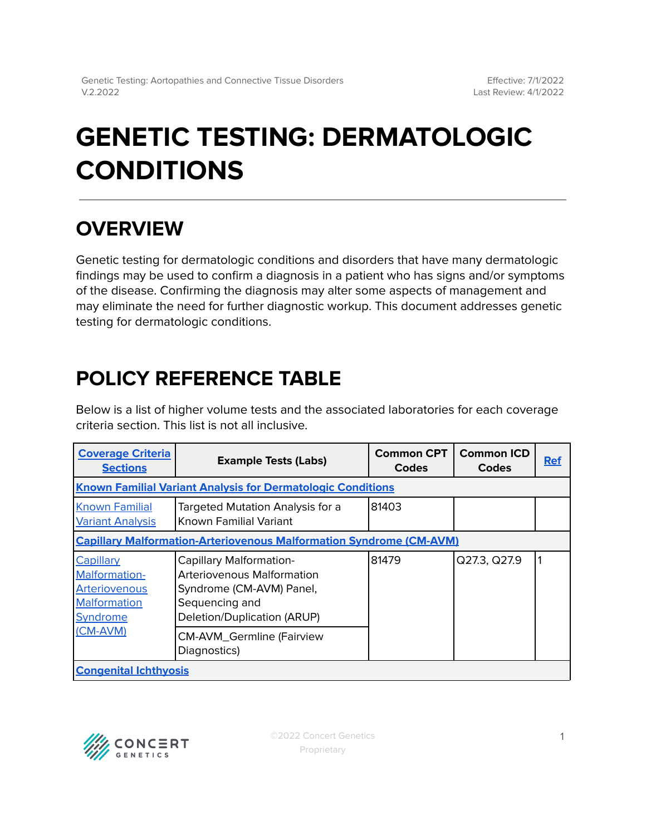# **GENETIC TESTING: DERMATOLOGIC CONDITIONS**

## **OVERVIEW**

Genetic testing for dermatologic conditions and disorders that have many dermatologic findings may be used to confirm a diagnosis in a patient who has signs and/or symptoms of the disease. Confirming the diagnosis may alter some aspects of management and may eliminate the need for further diagnostic workup. This document addresses genetic testing for dermatologic conditions.

## <span id="page-0-0"></span>**POLICY REFERENCE TABLE**

Below is a list of higher volume tests and the associated laboratories for each coverage criteria section. This list is not all inclusive.

| <b>Coverage Criteria</b><br><b>Sections</b>                                                                                | <b>Example Tests (Labs)</b>                                                                                                               | <b>Common CPT</b><br><b>Codes</b> | <b>Common ICD</b><br>Codes | <b>Ref</b> |  |  |
|----------------------------------------------------------------------------------------------------------------------------|-------------------------------------------------------------------------------------------------------------------------------------------|-----------------------------------|----------------------------|------------|--|--|
| <b>Known Familial Variant Analysis for Dermatologic Conditions</b>                                                         |                                                                                                                                           |                                   |                            |            |  |  |
| <b>Known Familial</b><br><b>Variant Analysis</b>                                                                           | Targeted Mutation Analysis for a<br>Known Familial Variant                                                                                | 81403                             |                            |            |  |  |
| <b>Capillary Malformation-Arteriovenous Malformation Syndrome (CM-AVM)</b>                                                 |                                                                                                                                           |                                   |                            |            |  |  |
| Capillary<br>Malformation-<br><b>Arteriovenous</b><br>Malformation<br>Syndrome<br>(CM-AVM)<br><b>Congenital Ichthyosis</b> | Capillary Malformation-<br><b>Arteriovenous Malformation</b><br>Syndrome (CM-AVM) Panel,<br>Sequencing and<br>Deletion/Duplication (ARUP) | 81479                             | Q27.3, Q27.9               |            |  |  |
|                                                                                                                            | <b>CM-AVM_Germline (Fairview</b><br>Diagnostics)                                                                                          |                                   |                            |            |  |  |

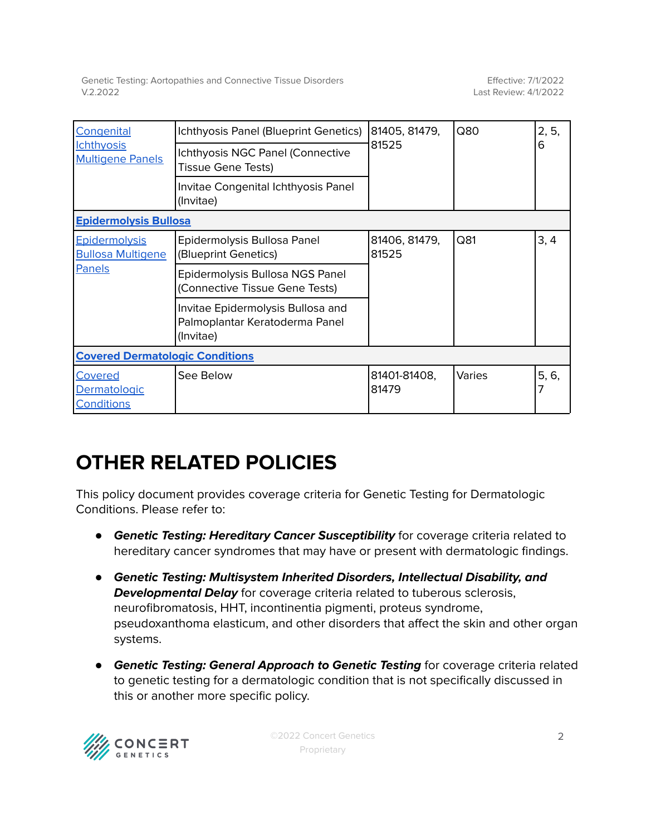Genetic Testing: Aortopathies and Connective Tissue Disorders V.2.2022

| Congenital<br><b>Ichthyosis</b><br><b>Multigene Panels</b>        | Ichthyosis Panel (Blueprint Genetics)                                            | 81405, 81479,<br>81525 | Q80    | 2, 5,<br>6 |  |  |  |
|-------------------------------------------------------------------|----------------------------------------------------------------------------------|------------------------|--------|------------|--|--|--|
|                                                                   | Ichthyosis NGC Panel (Connective<br><b>Tissue Gene Tests)</b>                    |                        |        |            |  |  |  |
|                                                                   | Invitae Congenital Ichthyosis Panel<br>(Invitae)                                 |                        |        |            |  |  |  |
| <b>Epidermolysis Bullosa</b>                                      |                                                                                  |                        |        |            |  |  |  |
| <b>Epidermolysis</b><br><b>Bullosa Multigene</b><br><b>Panels</b> | Epidermolysis Bullosa Panel<br>(Blueprint Genetics)                              | 81406, 81479,<br>81525 | Q81    | 3, 4       |  |  |  |
|                                                                   | Epidermolysis Bullosa NGS Panel<br>(Connective Tissue Gene Tests)                |                        |        |            |  |  |  |
|                                                                   | Invitae Epidermolysis Bullosa and<br>Palmoplantar Keratoderma Panel<br>(Invitae) |                        |        |            |  |  |  |
| <b>Covered Dermatologic Conditions</b>                            |                                                                                  |                        |        |            |  |  |  |
| Covered<br>Dermatologic<br><b>Conditions</b>                      | See Below                                                                        | 81401-81408,<br>81479  | Varies | 5, 6,<br>7 |  |  |  |

## **OTHER RELATED POLICIES**

This policy document provides coverage criteria for Genetic Testing for Dermatologic Conditions. Please refer to:

- **Genetic Testing: Hereditary Cancer Susceptibility** for coverage criteria related to hereditary cancer syndromes that may have or present with dermatologic findings.
- *●* **Genetic Testing: Multisystem Inherited Disorders, Intellectual Disability, and Developmental Delay** for coverage criteria related to tuberous sclerosis, neurofibromatosis, HHT, incontinentia pigmenti, proteus syndrome, pseudoxanthoma elasticum, and other disorders that affect the skin and other organ systems.
- **Genetic Testing: General Approach to Genetic Testing** for coverage criteria related to genetic testing for a dermatologic condition that is not specifically discussed in this or another more specific policy.



©2022 Concert Genetics Proprietary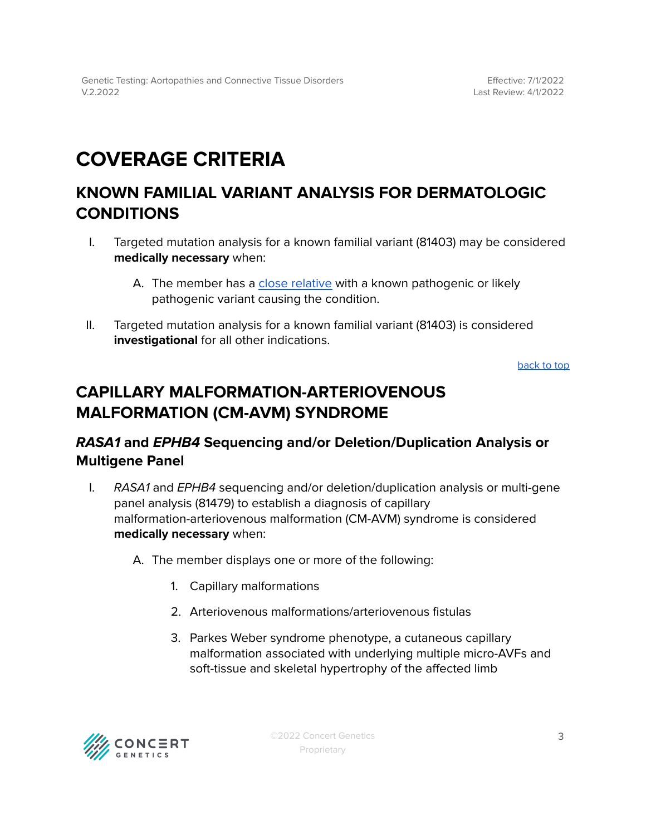## <span id="page-2-0"></span>**COVERAGE CRITERIA**

## <span id="page-2-1"></span>**KNOWN FAMILIAL VARIANT ANALYSIS FOR DERMATOLOGIC CONDITIONS**

- I. Targeted mutation analysis for a known familial variant (81403) may be considered **medically necessary** when:
	- A. The member has a close [relative](#page-5-1) with a known pathogenic or likely pathogenic variant causing the condition.
- II. Targeted mutation analysis for a known familial variant (81403) is considered **investigational** for all other indications.

[back](#page-0-0) to top

### <span id="page-2-2"></span>**CAPILLARY MALFORMATION-ARTERIOVENOUS MALFORMATION (CM-AVM) SYNDROME**

### **RASA1 and EPHB4 Sequencing and/or Deletion/Duplication Analysis or Multigene Panel**

- I. RASA1 and EPHB4 sequencing and/or deletion/duplication analysis or multi-gene panel analysis (81479) to establish a diagnosis of capillary malformation-arteriovenous malformation (CM-AVM) syndrome is considered **medically necessary** when:
	- A. The member displays one or more of the following:
		- 1. Capillary malformations
		- 2. Arteriovenous malformations/arteriovenous fistulas
		- 3. Parkes Weber syndrome phenotype, a cutaneous capillary malformation associated with underlying multiple micro-AVFs and soft-tissue and skeletal hypertrophy of the affected limb

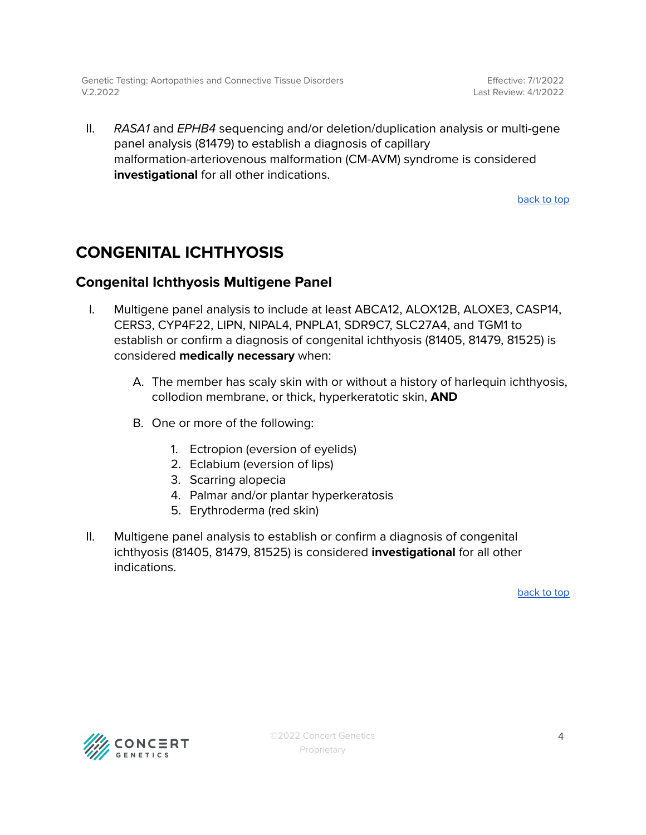Genetic Testing: Aortopathies and Connective Tissue Disorders V.2.2022

Effective: 7/1/2022 Last Review: 4/1/2022

II. RASA1 and EPHB4 sequencing and/or deletion/duplication analysis or multi-gene panel analysis (81479) to establish a diagnosis of capillary malformation-arteriovenous malformation (CM-AVM) syndrome is considered **investigational** for all other indications.

[back](#page-0-0) to top

### <span id="page-3-0"></span>**CONGENITAL ICHTHYOSIS**

### <span id="page-3-1"></span>**Congenital Ichthyosis Multigene Panel**

- I. Multigene panel analysis to include at least ABCA12, ALOX12B, ALOXE3, CASP14, CERS3, CYP4F22, LIPN, NIPAL4, PNPLA1, SDR9C7, SLC27A4, and TGM1 to establish or confirm a diagnosis of congenital ichthyosis (81405, 81479, 81525) is considered **medically necessary** when:
	- A. The member has scaly skin with or without a history of harlequin ichthyosis, collodion membrane, or thick, hyperkeratotic skin, **AND**
	- B. One or more of the following:
		- 1. Ectropion (eversion of eyelids)
		- 2. Eclabium (eversion of lips)
		- 3. Scarring alopecia
		- 4. Palmar and/or plantar hyperkeratosis
		- 5. Erythroderma (red skin)
- II. Multigene panel analysis to establish or confirm a diagnosis of congenital ichthyosis (81405, 81479, 81525) is considered **investigational** for all other indications.

[back](#page-0-0) to top

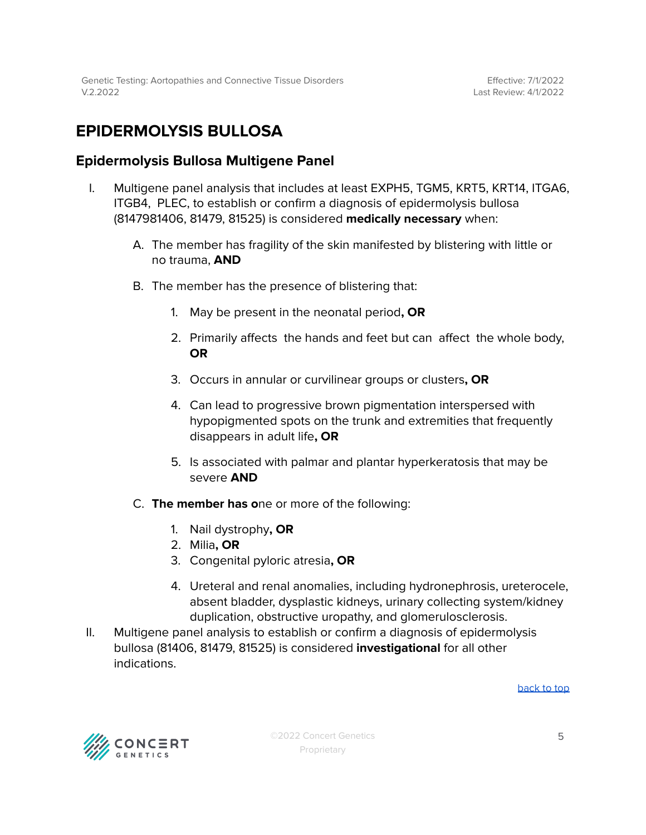## <span id="page-4-0"></span>**EPIDERMOLYSIS BULLOSA**

### <span id="page-4-1"></span>**Epidermolysis Bullosa Multigene Panel**

- I. Multigene panel analysis that includes at least EXPH5, TGM5, KRT5, KRT14, ITGA6, ITGB4, PLEC, to establish or confirm a diagnosis of epidermolysis bullosa (8147981406, 81479, 81525) is considered **medically necessary** when:
	- A. The member has fragility of the skin manifested by blistering with little or no trauma, **AND**
	- B. The member has the presence of blistering that:
		- 1. May be present in the neonatal period**, OR**
		- 2. Primarily affects the hands and feet but can affect the whole body, **OR**
		- 3. Occurs in annular or curvilinear groups or clusters**, OR**
		- 4. Can lead to progressive brown pigmentation interspersed with hypopigmented spots on the trunk and extremities that frequently disappears in adult life**, OR**
		- 5. Is associated with palmar and plantar hyperkeratosis that may be severe **AND**
	- C. **The member has o**ne or more of the following:
		- 1. Nail dystrophy**, OR**
		- 2. Milia**, OR**
		- 3. Congenital pyloric atresia**, OR**
		- 4. Ureteral and renal anomalies, including hydronephrosis, ureterocele, absent bladder, dysplastic kidneys, urinary collecting system/kidney duplication, obstructive uropathy, and glomerulosclerosis.
- II. Multigene panel analysis to establish or confirm a diagnosis of epidermolysis bullosa (81406, 81479, 81525) is considered **investigational** for all other indications.

[back](#page-0-0) to top

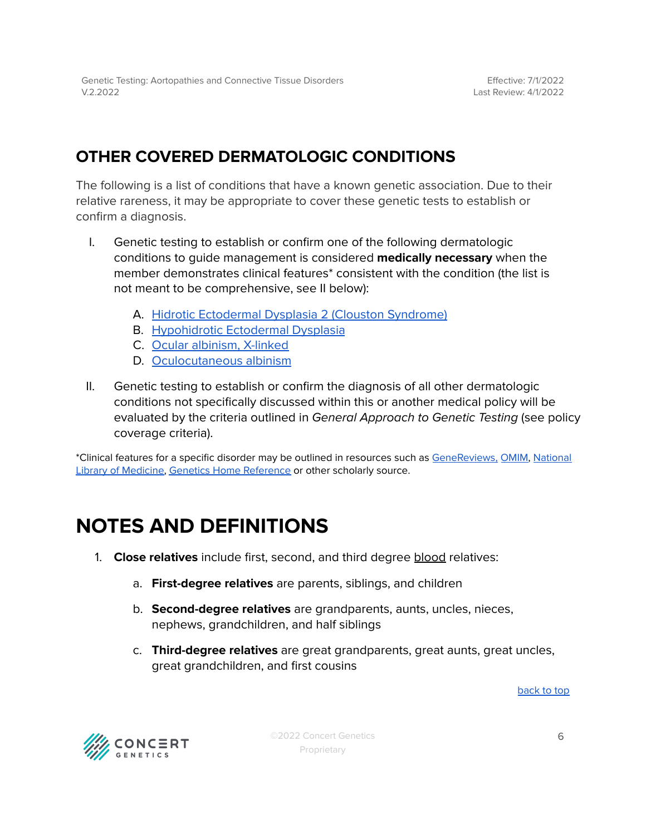## <span id="page-5-0"></span>**OTHER COVERED DERMATOLOGIC CONDITIONS**

The following is a list of conditions that have a known genetic association. Due to their relative rareness, it may be appropriate to cover these genetic tests to establish or confirm a diagnosis.

- I. Genetic testing to establish or confirm one of the following dermatologic conditions to guide management is considered **medically necessary** when the member demonstrates clinical features\* consistent with the condition (the list is not meant to be comprehensive, see II below):
	- A. Hidrotic [Ectodermal](https://www.ncbi.nlm.nih.gov/books/NBK1200/) Dysplasia 2 (Clouston Syndrome)
	- B. [Hypohidrotic](https://www.ncbi.nlm.nih.gov/books/NBK1112/) Ectodermal Dysplasia
	- C. Ocular [albinism,](https://www.ncbi.nlm.nih.gov/books/NBK1343/) X-linked
	- D. [Oculocutaneous](https://www.ncbi.nlm.nih.gov/books/NBK1510/) albinism
- II. Genetic testing to establish or confirm the diagnosis of all other dermatologic conditions not specifically discussed within this or another medical policy will be evaluated by the criteria outlined in General Approach to Genetic Testing (see policy coverage criteria).

\*Clinical features for a specific disorder may be outlined in resources such as [GeneReviews,](https://www.ncbi.nlm.nih.gov/books/NBK1116/) [OMIM,](https://www.omim.org/) [National](https://medlineplus.gov/) Library of [Medicine,](https://medlineplus.gov/) Genetics Home [Reference](https://medlineplus.gov/genetics/) or other scholarly source.

## <span id="page-5-1"></span>**NOTES AND DEFINITIONS**

- 1. **Close relatives** include first, second, and third degree blood relatives:
	- a. **First-degree relatives** are parents, siblings, and children
	- b. **Second-degree relatives** are grandparents, aunts, uncles, nieces, nephews, grandchildren, and half siblings
	- c. **Third-degree relatives** are great grandparents, great aunts, great uncles, great grandchildren, and first cousins

[back](#page-0-0) to top



©2022 Concert Genetics Proprietary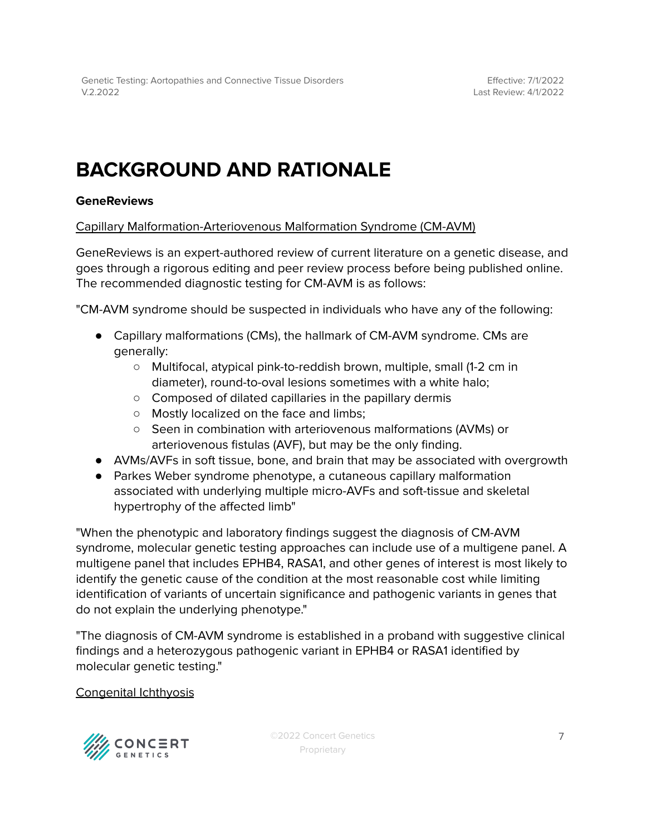## **BACKGROUND AND RATIONALE**

### **GeneReviews**

#### Capillary Malformation-Arteriovenous Malformation Syndrome (CM-AVM)

GeneReviews is an expert-authored review of current literature on a genetic disease, and goes through a rigorous editing and peer review process before being published online. The recommended diagnostic testing for CM-AVM is as follows:

"CM-AVM syndrome should be suspected in individuals who have any of the following:

- Capillary malformations (CMs), the hallmark of CM-AVM syndrome. CMs are generally:
	- Multifocal, atypical pink-to-reddish brown, multiple, small (1-2 cm in diameter), round-to-oval lesions sometimes with a white halo;
	- Composed of dilated capillaries in the papillary dermis
	- Mostly localized on the face and limbs;
	- Seen in combination with arteriovenous malformations (AVMs) or arteriovenous fistulas (AVF), but may be the only finding.
- AVMs/AVFs in soft tissue, bone, and brain that may be associated with overgrowth
- Parkes Weber syndrome phenotype, a cutaneous capillary malformation associated with underlying multiple micro-AVFs and soft-tissue and skeletal hypertrophy of the affected limb"

"When the phenotypic and laboratory findings suggest the diagnosis of CM-AVM syndrome, molecular genetic testing approaches can include use of a multigene panel. A multigene panel that includes EPHB4, RASA1, and other genes of interest is most likely to identify the genetic cause of the condition at the most reasonable cost while limiting identification of variants of uncertain significance and pathogenic variants in genes that do not explain the underlying phenotype."

"The diagnosis of CM-AVM syndrome is established in a proband with suggestive clinical findings and a heterozygous pathogenic variant in EPHB4 or RASA1 identified by molecular genetic testing."

#### Congenital Ichthyosis

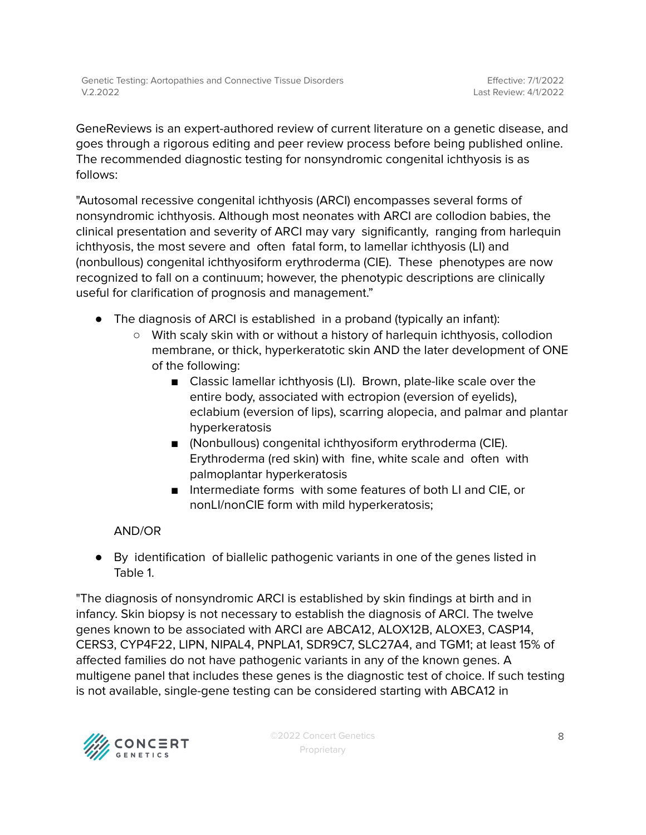GeneReviews is an expert-authored review of current literature on a genetic disease, and goes through a rigorous editing and peer review process before being published online. The recommended diagnostic testing for nonsyndromic congenital ichthyosis is as follows:

"Autosomal recessive congenital ichthyosis (ARCI) encompasses several forms of nonsyndromic ichthyosis. Although most neonates with ARCI are collodion babies, the clinical presentation and severity of ARCI may vary significantly, ranging from harlequin ichthyosis, the most severe and often fatal form, to lamellar ichthyosis (LI) and (nonbullous) congenital ichthyosiform erythroderma (CIE). These phenotypes are now recognized to fall on a continuum; however, the phenotypic descriptions are clinically useful for clarification of prognosis and management."

- The diagnosis of ARCI is established in a proband (typically an infant):
	- With scaly skin with or without a history of harlequin ichthyosis, collodion membrane, or thick, hyperkeratotic skin AND the later development of ONE of the following:
		- Classic lamellar ichthyosis (LI). Brown, plate-like scale over the entire body, associated with ectropion (eversion of eyelids), eclabium (eversion of lips), scarring alopecia, and palmar and plantar hyperkeratosis
		- (Nonbullous) congenital ichthyosiform erythroderma (CIE). Erythroderma (red skin) with fine, white scale and often with palmoplantar hyperkeratosis
		- Intermediate forms with some features of both LI and CIE, or nonLI/nonCIE form with mild hyperkeratosis;

### AND/OR

● By identification of biallelic pathogenic variants in one of the genes listed in Table 1.

"The diagnosis of nonsyndromic ARCI is established by skin findings at birth and in infancy. Skin biopsy is not necessary to establish the diagnosis of ARCI. The twelve genes known to be associated with ARCI are ABCA12, ALOX12B, ALOXE3, CASP14, CERS3, CYP4F22, LIPN, NIPAL4, PNPLA1, SDR9C7, SLC27A4, and TGM1; at least 15% of affected families do not have pathogenic variants in any of the known genes. A multigene panel that includes these genes is the diagnostic test of choice. If such testing is not available, single-gene testing can be considered starting with ABCA12 in

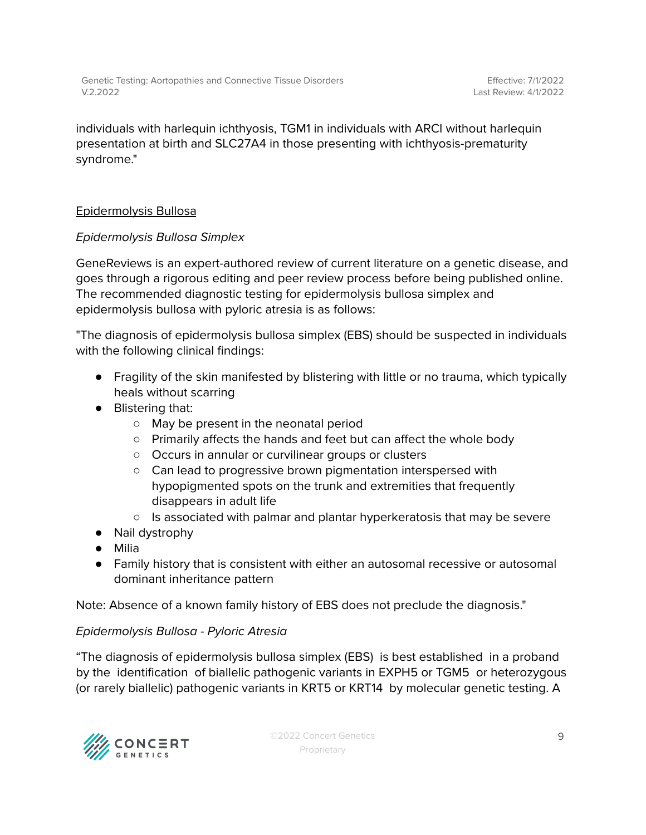Genetic Testing: Aortopathies and Connective Tissue Disorders V.2.2022

Effective: 7/1/2022 Last Review: 4/1/2022

individuals with harlequin ichthyosis, TGM1 in individuals with ARCI without harlequin presentation at birth and SLC27A4 in those presenting with ichthyosis-prematurity syndrome."

#### Epidermolysis Bullosa

#### Epidermolysis Bullosa Simplex

GeneReviews is an expert-authored review of current literature on a genetic disease, and goes through a rigorous editing and peer review process before being published online. The recommended diagnostic testing for epidermolysis bullosa simplex and epidermolysis bullosa with pyloric atresia is as follows:

"The diagnosis of epidermolysis bullosa simplex (EBS) should be suspected in individuals with the following clinical findings:

- Fragility of the skin manifested by blistering with little or no trauma, which typically heals without scarring
- Blistering that:
	- May be present in the neonatal period
	- $\circ$  Primarily affects the hands and feet but can affect the whole body
	- Occurs in annular or curvilinear groups or clusters
	- Can lead to progressive brown pigmentation interspersed with hypopigmented spots on the trunk and extremities that frequently disappears in adult life
	- $\circ$  Is associated with palmar and plantar hyperkeratosis that may be severe
- Nail dystrophy
- Milia
- Family history that is consistent with either an autosomal recessive or autosomal dominant inheritance pattern

Note: Absence of a known family history of EBS does not preclude the diagnosis."

#### Epidermolysis Bullosa - Pyloric Atresia

"The diagnosis of epidermolysis bullosa simplex (EBS) is best established in a proband by the identification of biallelic pathogenic variants in EXPH5 or TGM5 or heterozygous (or rarely biallelic) pathogenic variants in KRT5 or KRT14 by molecular genetic testing. A

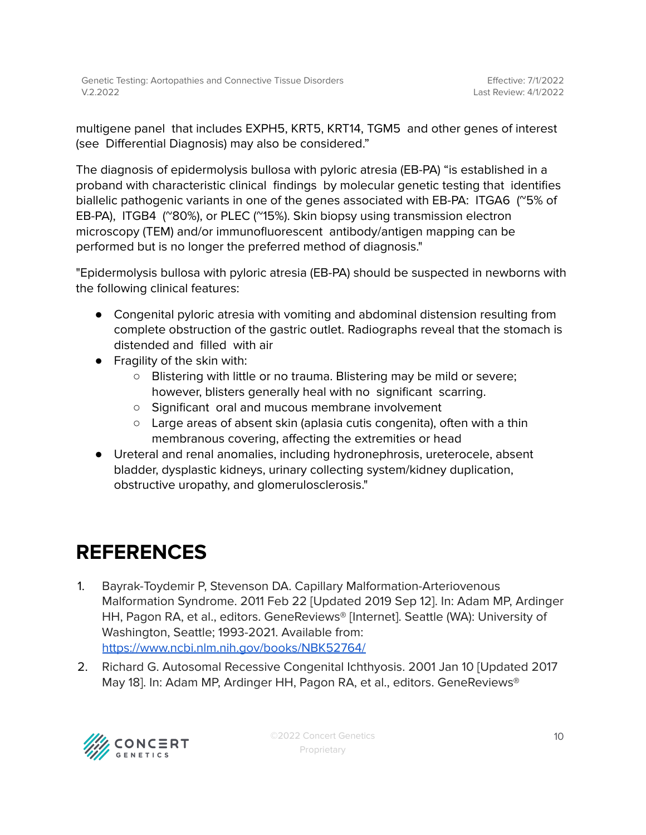multigene panel that includes EXPH5, KRT5, KRT14, TGM5 and other genes of interest (see Differential Diagnosis) may also be considered."

The diagnosis of epidermolysis bullosa with pyloric atresia (EB-PA) "is established in a proband with characteristic clinical findings by molecular genetic testing that identifies biallelic pathogenic variants in one of the genes associated with EB-PA: ITGA6 (~5% of EB-PA), ITGB4 (~80%), or PLEC (~15%). Skin biopsy using transmission electron microscopy (TEM) and/or immunofluorescent antibody/antigen mapping can be performed but is no longer the preferred method of diagnosis."

"Epidermolysis bullosa with pyloric atresia (EB-PA) should be suspected in newborns with the following clinical features:

- Congenital pyloric atresia with vomiting and abdominal distension resulting from complete obstruction of the gastric outlet. Radiographs reveal that the stomach is distended and filled with air
- Fragility of the skin with:
	- Blistering with little or no trauma. Blistering may be mild or severe; however, blisters generally heal with no significant scarring.
	- Significant oral and mucous membrane involvement
	- Large areas of absent skin (aplasia cutis congenita), often with a thin membranous covering, affecting the extremities or head
- Ureteral and renal anomalies, including hydronephrosis, ureterocele, absent bladder, dysplastic kidneys, urinary collecting system/kidney duplication, obstructive uropathy, and glomerulosclerosis."

## <span id="page-9-0"></span>**REFERENCES**

- 1. Bayrak-Toydemir P, Stevenson DA. Capillary Malformation-Arteriovenous Malformation Syndrome. 2011 Feb 22 [Updated 2019 Sep 12]. In: Adam MP, Ardinger HH, Pagon RA, et al., editors. GeneReviews® [Internet]. Seattle (WA): University of Washington, Seattle; 1993-2021. Available from: <https://www.ncbi.nlm.nih.gov/books/NBK52764/>
- 2. Richard G. Autosomal Recessive Congenital Ichthyosis. 2001 Jan 10 [Updated 2017 May 18]. In: Adam MP, Ardinger HH, Pagon RA, et al., editors. GeneReviews®